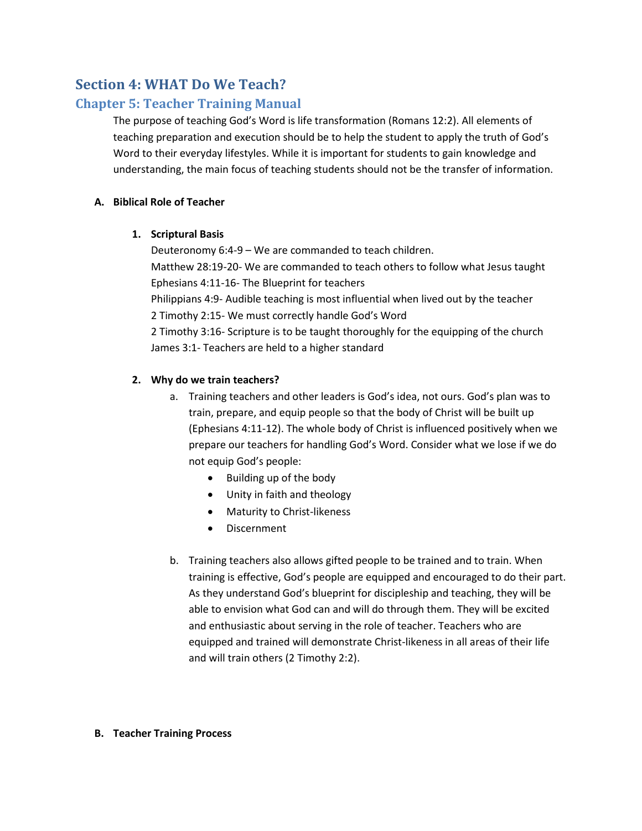# **Section 4: WHAT Do We Teach?**

# **Chapter 5: Teacher Training Manual**

The purpose of teaching God's Word is life transformation (Romans 12:2). All elements of teaching preparation and execution should be to help the student to apply the truth of God's Word to their everyday lifestyles. While it is important for students to gain knowledge and understanding, the main focus of teaching students should not be the transfer of information.

## **A. Biblical Role of Teacher**

## **1. Scriptural Basis**

Deuteronomy 6:4-9 – We are commanded to teach children. Matthew 28:19-20- We are commanded to teach others to follow what Jesus taught Ephesians 4:11-16- The Blueprint for teachers Philippians 4:9- Audible teaching is most influential when lived out by the teacher 2 Timothy 2:15- We must correctly handle God's Word 2 Timothy 3:16- Scripture is to be taught thoroughly for the equipping of the church James 3:1- Teachers are held to a higher standard

## **2. Why do we train teachers?**

- a. Training teachers and other leaders is God's idea, not ours. God's plan was to train, prepare, and equip people so that the body of Christ will be built up (Ephesians 4:11-12). The whole body of Christ is influenced positively when we prepare our teachers for handling God's Word. Consider what we lose if we do not equip God's people:
	- Building up of the body
	- Unity in faith and theology
	- Maturity to Christ-likeness
	- **•** Discernment
- b. Training teachers also allows gifted people to be trained and to train. When training is effective, God's people are equipped and encouraged to do their part. As they understand God's blueprint for discipleship and teaching, they will be able to envision what God can and will do through them. They will be excited and enthusiastic about serving in the role of teacher. Teachers who are equipped and trained will demonstrate Christ-likeness in all areas of their life and will train others (2 Timothy 2:2).

## **B. Teacher Training Process**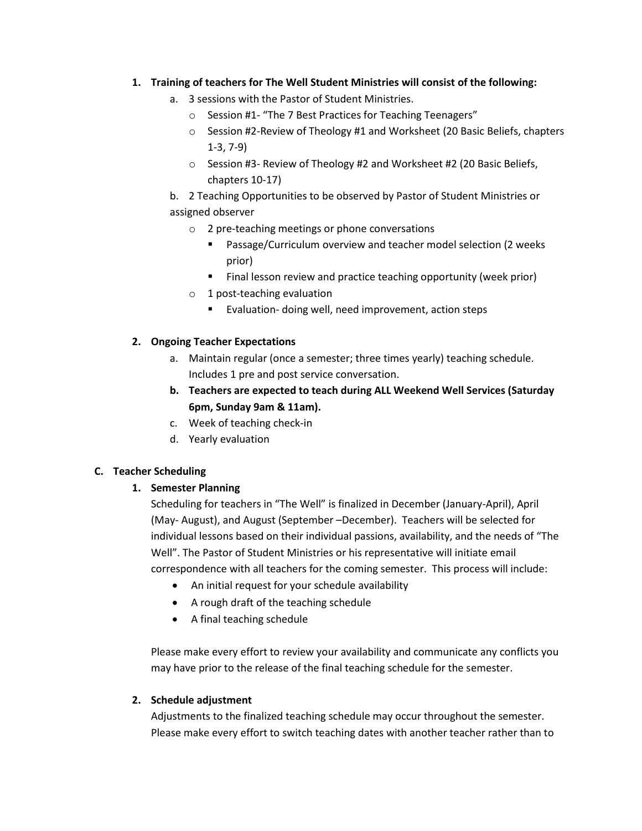## **1. Training of teachers for The Well Student Ministries will consist of the following:**

- a. 3 sessions with the Pastor of Student Ministries.
	- o Session #1- "The 7 Best Practices for Teaching Teenagers"
	- o Session #2-Review of Theology #1 and Worksheet (20 Basic Beliefs, chapters 1-3, 7-9)
	- o Session #3- Review of Theology #2 and Worksheet #2 (20 Basic Beliefs, chapters 10-17)

b. 2 Teaching Opportunities to be observed by Pastor of Student Ministries or assigned observer

- o 2 pre-teaching meetings or phone conversations
	- Passage/Curriculum overview and teacher model selection (2 weeks prior)
	- Final lesson review and practice teaching opportunity (week prior)
- o 1 post-teaching evaluation
	- Evaluation- doing well, need improvement, action steps

## **2. Ongoing Teacher Expectations**

- a. Maintain regular (once a semester; three times yearly) teaching schedule. Includes 1 pre and post service conversation.
- **b. Teachers are expected to teach during ALL Weekend Well Services (Saturday 6pm, Sunday 9am & 11am).**
- c. Week of teaching check-in
- d. Yearly evaluation

## **C. Teacher Scheduling**

## **1. Semester Planning**

Scheduling for teachers in "The Well" is finalized in December (January-April), April (May- August), and August (September –December). Teachers will be selected for individual lessons based on their individual passions, availability, and the needs of "The Well". The Pastor of Student Ministries or his representative will initiate email correspondence with all teachers for the coming semester. This process will include:

- An initial request for your schedule availability
- A rough draft of the teaching schedule
- A final teaching schedule

Please make every effort to review your availability and communicate any conflicts you may have prior to the release of the final teaching schedule for the semester.

## **2. Schedule adjustment**

Adjustments to the finalized teaching schedule may occur throughout the semester. Please make every effort to switch teaching dates with another teacher rather than to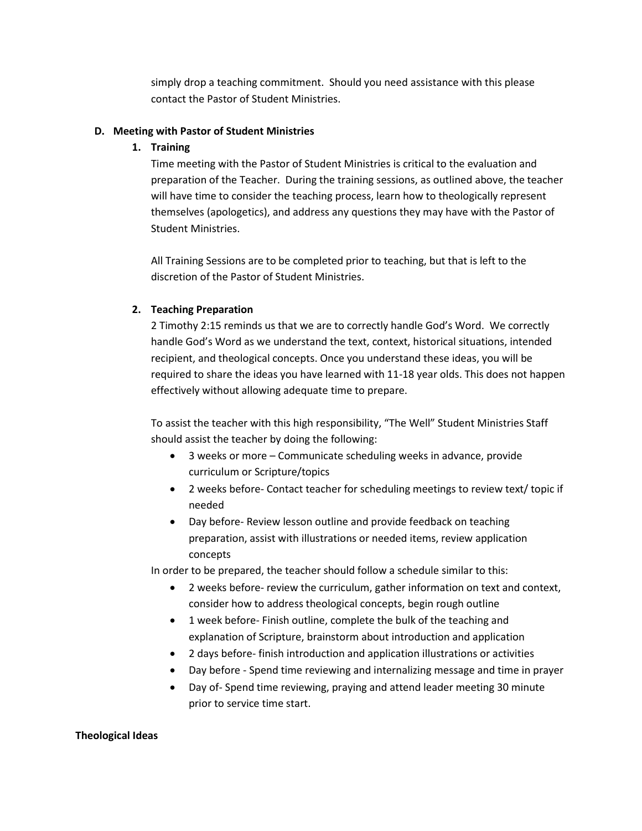simply drop a teaching commitment. Should you need assistance with this please contact the Pastor of Student Ministries.

## **D. Meeting with Pastor of Student Ministries**

## **1. Training**

Time meeting with the Pastor of Student Ministries is critical to the evaluation and preparation of the Teacher. During the training sessions, as outlined above, the teacher will have time to consider the teaching process, learn how to theologically represent themselves (apologetics), and address any questions they may have with the Pastor of Student Ministries.

All Training Sessions are to be completed prior to teaching, but that is left to the discretion of the Pastor of Student Ministries.

## **2. Teaching Preparation**

2 Timothy 2:15 reminds us that we are to correctly handle God's Word. We correctly handle God's Word as we understand the text, context, historical situations, intended recipient, and theological concepts. Once you understand these ideas, you will be required to share the ideas you have learned with 11-18 year olds. This does not happen effectively without allowing adequate time to prepare.

To assist the teacher with this high responsibility, "The Well" Student Ministries Staff should assist the teacher by doing the following:

- 3 weeks or more Communicate scheduling weeks in advance, provide curriculum or Scripture/topics
- 2 weeks before- Contact teacher for scheduling meetings to review text/ topic if needed
- Day before- Review lesson outline and provide feedback on teaching preparation, assist with illustrations or needed items, review application concepts

In order to be prepared, the teacher should follow a schedule similar to this:

- 2 weeks before- review the curriculum, gather information on text and context, consider how to address theological concepts, begin rough outline
- 1 week before- Finish outline, complete the bulk of the teaching and explanation of Scripture, brainstorm about introduction and application
- 2 days before- finish introduction and application illustrations or activities
- Day before Spend time reviewing and internalizing message and time in prayer
- Day of- Spend time reviewing, praying and attend leader meeting 30 minute prior to service time start.

## **Theological Ideas**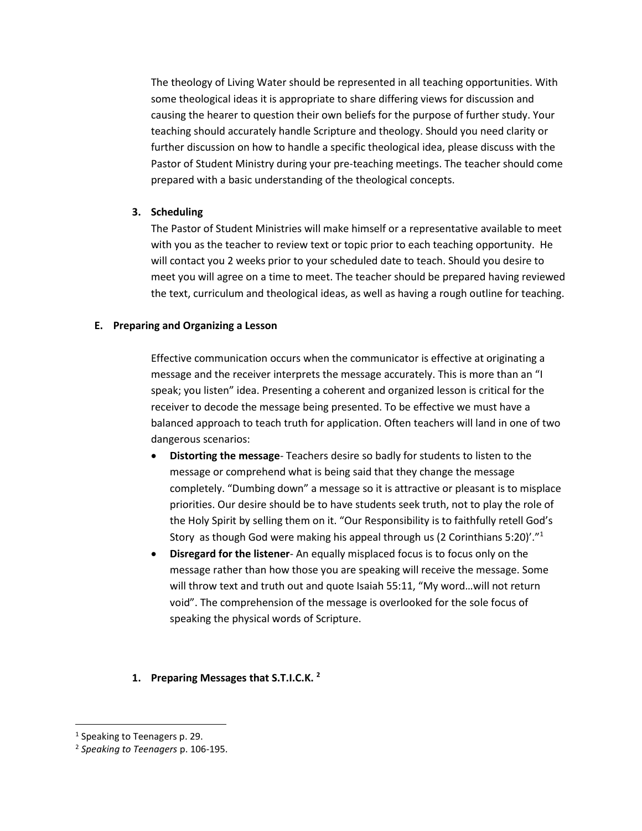The theology of Living Water should be represented in all teaching opportunities. With some theological ideas it is appropriate to share differing views for discussion and causing the hearer to question their own beliefs for the purpose of further study. Your teaching should accurately handle Scripture and theology. Should you need clarity or further discussion on how to handle a specific theological idea, please discuss with the Pastor of Student Ministry during your pre-teaching meetings. The teacher should come prepared with a basic understanding of the theological concepts.

## **3. Scheduling**

The Pastor of Student Ministries will make himself or a representative available to meet with you as the teacher to review text or topic prior to each teaching opportunity. He will contact you 2 weeks prior to your scheduled date to teach. Should you desire to meet you will agree on a time to meet. The teacher should be prepared having reviewed the text, curriculum and theological ideas, as well as having a rough outline for teaching.

#### **E. Preparing and Organizing a Lesson**

Effective communication occurs when the communicator is effective at originating a message and the receiver interprets the message accurately. This is more than an "I speak; you listen" idea. Presenting a coherent and organized lesson is critical for the receiver to decode the message being presented. To be effective we must have a balanced approach to teach truth for application. Often teachers will land in one of two dangerous scenarios:

- **Distorting the message** Teachers desire so badly for students to listen to the message or comprehend what is being said that they change the message completely. "Dumbing down" a message so it is attractive or pleasant is to misplace priorities. Our desire should be to have students seek truth, not to play the role of the Holy Spirit by selling them on it. "Our Responsibility is to faithfully retell God's Story as though God were making his appeal through us (2 Corinthians 5:20)'."<sup>1</sup>
- **Disregard for the listener** An equally misplaced focus is to focus only on the message rather than how those you are speaking will receive the message. Some will throw text and truth out and quote Isaiah 55:11, "My word...will not return void". The comprehension of the message is overlooked for the sole focus of speaking the physical words of Scripture.

## **1. Preparing Messages that S.T.I.C.K. <sup>2</sup>**

l

<sup>&</sup>lt;sup>1</sup> Speaking to Teenagers p. 29.

<sup>2</sup> *Speaking to Teenagers* p. 106-195.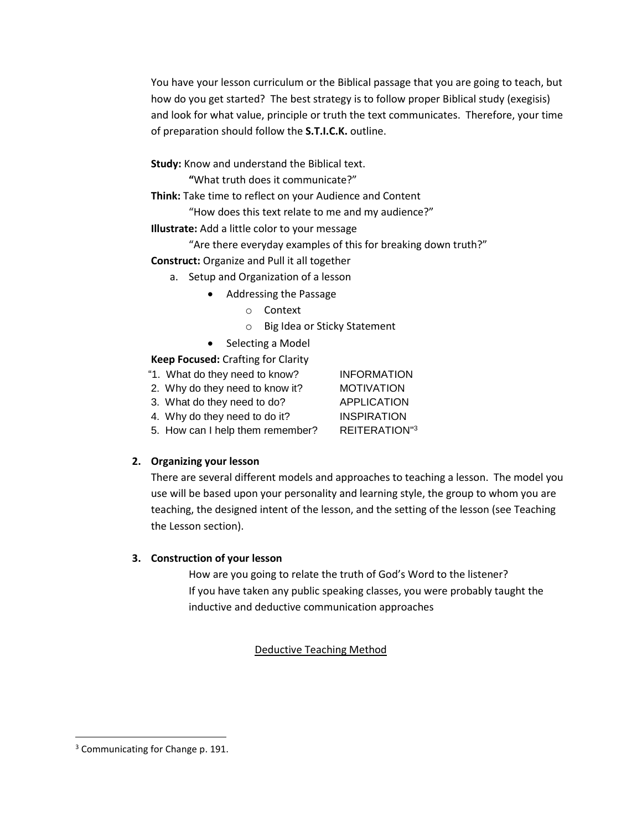You have your lesson curriculum or the Biblical passage that you are going to teach, but how do you get started? The best strategy is to follow proper Biblical study (exegisis) and look for what value, principle or truth the text communicates. Therefore, your time of preparation should follow the **S.T.I.C.K.** outline.

**Study:** Know and understand the Biblical text.

**"**What truth does it communicate?"

**Think:** Take time to reflect on your Audience and Content

"How does this text relate to me and my audience?"

**Illustrate:** Add a little color to your message

"Are there everyday examples of this for breaking down truth?" **Construct:** Organize and Pull it all together

- a. Setup and Organization of a lesson
	- Addressing the Passage
		- o Context
		- o Big Idea or Sticky Statement
	- Selecting a Model

## **Keep Focused:** Crafting for Clarity

- "1. What do they need to know? INFORMATION
- 2. Why do they need to know it? MOTIVATION
- 3. What do they need to do? APPLICATION
- 4. Why do they need to do it? INSPIRATION
- 5. How can I help them remember? REITERATION"<sup>3</sup>

## **2. Organizing your lesson**

There are several different models and approaches to teaching a lesson. The model you use will be based upon your personality and learning style, the group to whom you are teaching, the designed intent of the lesson, and the setting of the lesson (see Teaching the Lesson section).

## **3. Construction of your lesson**

How are you going to relate the truth of God's Word to the listener? If you have taken any public speaking classes, you were probably taught the inductive and deductive communication approaches

## Deductive Teaching Method

 $\overline{\phantom{a}}$ 

<sup>&</sup>lt;sup>3</sup> Communicating for Change p. 191.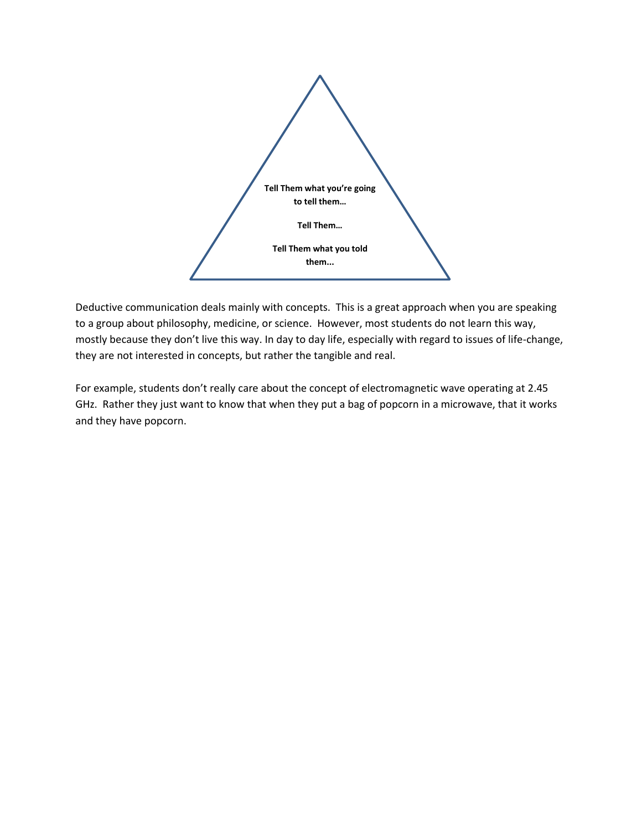

Deductive communication deals mainly with concepts. This is a great approach when you are speaking to a group about philosophy, medicine, or science. However, most students do not learn this way, mostly because they don't live this way. In day to day life, especially with regard to issues of life-change, they are not interested in concepts, but rather the tangible and real.

For example, students don't really care about the concept of electromagnetic wave operating at 2.45 GHz. Rather they just want to know that when they put a bag of popcorn in a microwave, that it works and they have popcorn.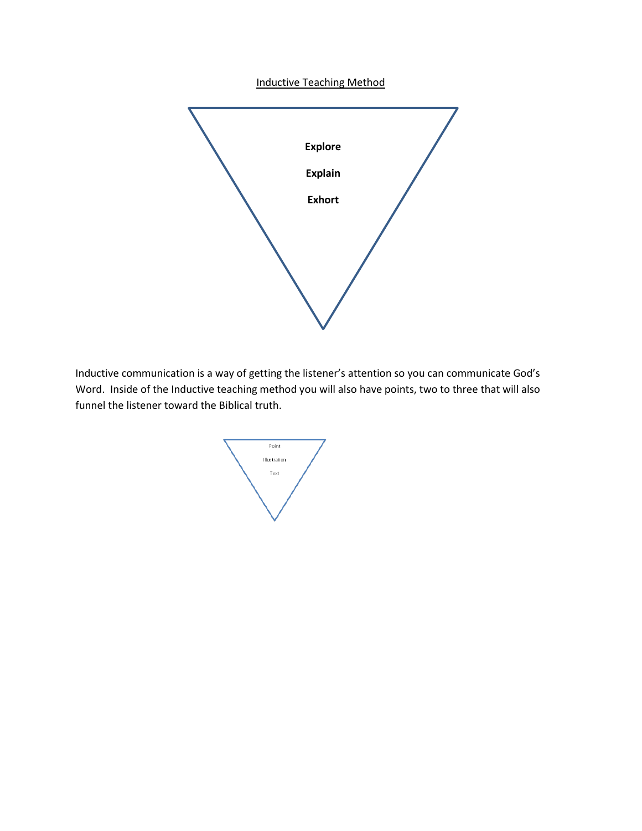Inductive Teaching Method



Inductive communication is a way of getting the listener's attention so you can communicate God's Word. Inside of the Inductive teaching method you will also have points, two to three that will also funnel the listener toward the Biblical truth.

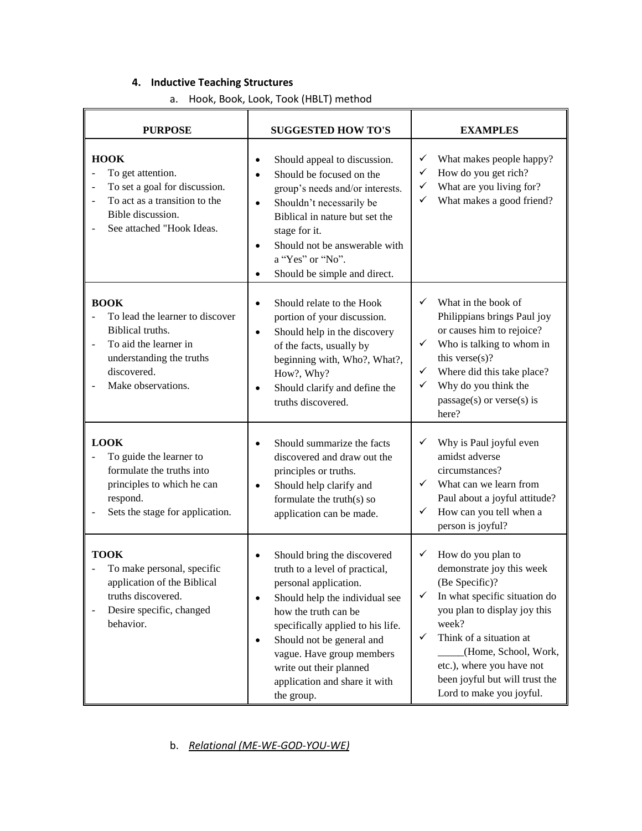## **4. Inductive Teaching Structures**

a. Hook, Book, Look, Took (HBLT) method

| <b>PURPOSE</b>                                                                                                                                                         | <b>SUGGESTED HOW TO'S</b>                                                                                                                                                                                                                                                                                                                           | <b>EXAMPLES</b>                                                                                                                                                                                                                                                                                                     |
|------------------------------------------------------------------------------------------------------------------------------------------------------------------------|-----------------------------------------------------------------------------------------------------------------------------------------------------------------------------------------------------------------------------------------------------------------------------------------------------------------------------------------------------|---------------------------------------------------------------------------------------------------------------------------------------------------------------------------------------------------------------------------------------------------------------------------------------------------------------------|
| <b>HOOK</b><br>To get attention.<br>$\overline{a}$<br>To set a goal for discussion.<br>To act as a transition to the<br>Bible discussion.<br>See attached "Hook Ideas. | Should appeal to discussion.<br>$\bullet$<br>Should be focused on the<br>$\bullet$<br>group's needs and/or interests.<br>Shouldn't necessarily be<br>$\bullet$<br>Biblical in nature but set the<br>stage for it.<br>Should not be answerable with<br>a "Yes" or "No".<br>Should be simple and direct.<br>$\bullet$                                 | What makes people happy?<br>✓<br>How do you get rich?<br>✓<br>What are you living for?<br>✓<br>What makes a good friend?<br>✓                                                                                                                                                                                       |
| <b>BOOK</b><br>To lead the learner to discover<br>Biblical truths.<br>To aid the learner in<br>understanding the truths<br>discovered.<br>Make observations.           | Should relate to the Hook<br>portion of your discussion.<br>Should help in the discovery<br>$\bullet$<br>of the facts, usually by<br>beginning with, Who?, What?,<br>How?, Why?<br>Should clarify and define the<br>$\bullet$<br>truths discovered.                                                                                                 | ✓<br>What in the book of<br>Philippians brings Paul joy<br>or causes him to rejoice?<br>$\checkmark$<br>Who is talking to whom in<br>this verse $(s)$ ?<br>$\checkmark$<br>Where did this take place?<br>Why do you think the<br>✓<br>$passage(s)$ or verse $(s)$ is<br>here?                                       |
| <b>LOOK</b><br>To guide the learner to<br>formulate the truths into<br>principles to which he can<br>respond.<br>Sets the stage for application.                       | Should summarize the facts<br>discovered and draw out the<br>principles or truths.<br>Should help clarify and<br>$\bullet$<br>formulate the truth(s) so<br>application can be made.                                                                                                                                                                 | Why is Paul joyful even<br>✓<br>amidst adverse<br>circumstances?<br>✓<br>What can we learn from<br>Paul about a joyful attitude?<br>How can you tell when a<br>✓<br>person is joyful?                                                                                                                               |
| <b>TOOK</b><br>To make personal, specific<br>application of the Biblical<br>truths discovered.<br>Desire specific, changed<br>behavior.                                | Should bring the discovered<br>truth to a level of practical,<br>personal application.<br>Should help the individual see<br>$\bullet$<br>how the truth can be<br>specifically applied to his life.<br>Should not be general and<br>$\bullet$<br>vague. Have group members<br>write out their planned<br>application and share it with<br>the group. | How do you plan to<br>✓<br>demonstrate joy this week<br>(Be Specific)?<br>In what specific situation do<br>✓<br>you plan to display joy this<br>week?<br>$\checkmark$<br>Think of a situation at<br>(Home, School, Work,<br>etc.), where you have not<br>been joyful but will trust the<br>Lord to make you joyful. |

## b. *Relational (ME-WE-GOD-YOU-WE)*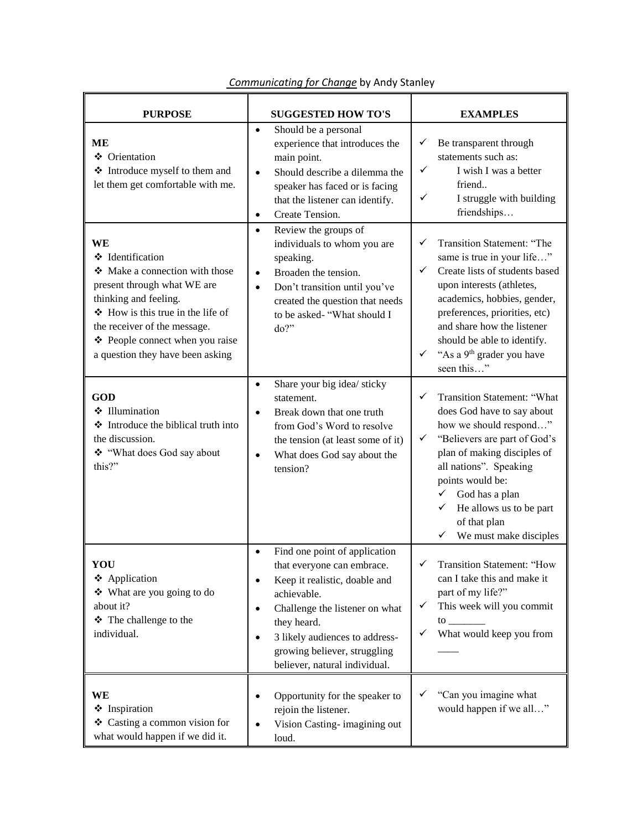| <b>PURPOSE</b>                                                                                                                                                                                                                                           | <b>SUGGESTED HOW TO'S</b>                                                                                                                                                                                                                                                                      | <b>EXAMPLES</b>                                                                                                                                                                                                                                                                                                                        |
|----------------------------------------------------------------------------------------------------------------------------------------------------------------------------------------------------------------------------------------------------------|------------------------------------------------------------------------------------------------------------------------------------------------------------------------------------------------------------------------------------------------------------------------------------------------|----------------------------------------------------------------------------------------------------------------------------------------------------------------------------------------------------------------------------------------------------------------------------------------------------------------------------------------|
| <b>ME</b><br>❖ Orientation<br>❖ Introduce myself to them and<br>let them get comfortable with me.                                                                                                                                                        | Should be a personal<br>$\bullet$<br>experience that introduces the<br>main point.<br>Should describe a dilemma the<br>$\bullet$<br>speaker has faced or is facing<br>that the listener can identify.<br>Create Tension.<br>$\bullet$                                                          | Be transparent through<br>✓<br>statements such as:<br>✓<br>I wish I was a better<br>friend<br>✓<br>I struggle with building<br>friendships                                                                                                                                                                                             |
| WE<br>❖ Identification<br>Make a connection with those<br>present through what WE are<br>thinking and feeling.<br>How is this true in the life of<br>the receiver of the message.<br>❖ People connect when you raise<br>a question they have been asking | Review the groups of<br>$\bullet$<br>individuals to whom you are<br>speaking.<br>Broaden the tension.<br>$\bullet$<br>Don't transition until you've<br>$\bullet$<br>created the question that needs<br>to be asked- "What should I<br>do?"                                                     | Transition Statement: "The<br>✓<br>same is true in your life"<br>✓<br>Create lists of students based<br>upon interests (athletes,<br>academics, hobbies, gender,<br>preferences, priorities, etc)<br>and share how the listener<br>should be able to identify.<br>"As a 9 <sup>th</sup> grader you have<br>✓<br>seen this"             |
| <b>GOD</b><br>❖ Illumination<br>❖ Introduce the biblical truth into<br>the discussion.<br>❖ "What does God say about<br>this?"                                                                                                                           | Share your big idea/ sticky<br>$\bullet$<br>statement.<br>Break down that one truth<br>$\bullet$<br>from God's Word to resolve<br>the tension (at least some of it)<br>What does God say about the<br>$\bullet$<br>tension?                                                                    | Transition Statement: "What<br>✓<br>does God have to say about<br>how we should respond"<br>"Believers are part of God's<br>✓<br>plan of making disciples of<br>all nations". Speaking<br>points would be:<br>God has a plan<br>$\checkmark$<br>He allows us to be part<br>$\checkmark$<br>of that plan<br>We must make disciples<br>✓ |
| YOU<br>❖ Application<br>$\div$ What are you going to do<br>about it?<br>❖ The challenge to the<br>individual.                                                                                                                                            | Find one point of application<br>that everyone can embrace.<br>Keep it realistic, doable and<br>٠<br>achievable.<br>Challenge the listener on what<br>$\bullet$<br>they heard.<br>3 likely audiences to address-<br>$\bullet$<br>growing believer, struggling<br>believer, natural individual. | Transition Statement: "How<br>✓<br>can I take this and make it<br>part of my life?"<br>This week will you commit<br>✓<br>$\frac{10}{2}$<br>What would keep you from<br>✓                                                                                                                                                               |
| WE<br>❖ Inspiration<br>❖ Casting a common vision for<br>what would happen if we did it.                                                                                                                                                                  | Opportunity for the speaker to<br>$\bullet$<br>rejoin the listener.<br>Vision Casting-imagining out<br>loud.                                                                                                                                                                                   | "Can you imagine what<br>✓<br>would happen if we all"                                                                                                                                                                                                                                                                                  |

*Communicating for Change* by Andy Stanley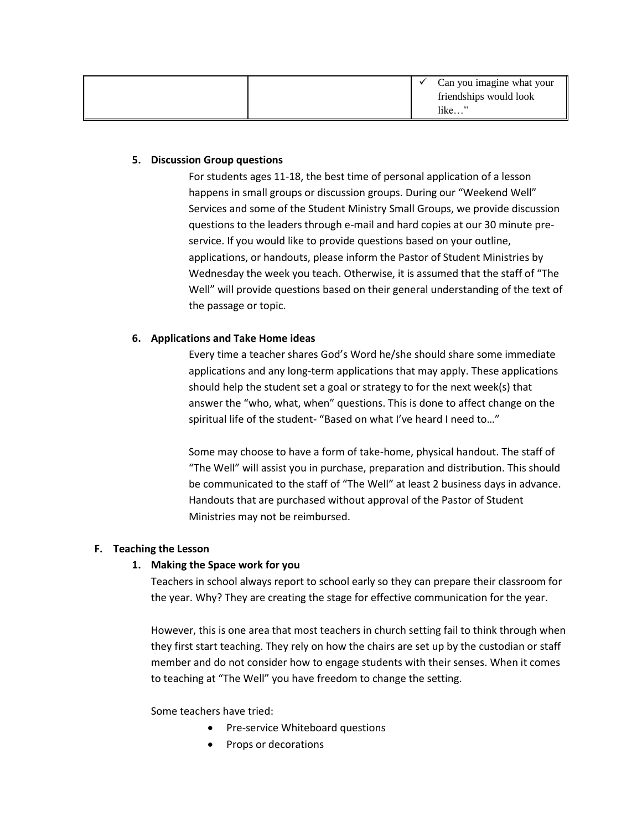|  | Can you imagine what your |
|--|---------------------------|
|  | friendships would look    |
|  | $like$ "                  |

#### **5. Discussion Group questions**

For students ages 11-18, the best time of personal application of a lesson happens in small groups or discussion groups. During our "Weekend Well" Services and some of the Student Ministry Small Groups, we provide discussion questions to the leaders through e-mail and hard copies at our 30 minute preservice. If you would like to provide questions based on your outline, applications, or handouts, please inform the Pastor of Student Ministries by Wednesday the week you teach. Otherwise, it is assumed that the staff of "The Well" will provide questions based on their general understanding of the text of the passage or topic.

## **6. Applications and Take Home ideas**

Every time a teacher shares God's Word he/she should share some immediate applications and any long-term applications that may apply. These applications should help the student set a goal or strategy to for the next week(s) that answer the "who, what, when" questions. This is done to affect change on the spiritual life of the student- "Based on what I've heard I need to…"

Some may choose to have a form of take-home, physical handout. The staff of "The Well" will assist you in purchase, preparation and distribution. This should be communicated to the staff of "The Well" at least 2 business days in advance. Handouts that are purchased without approval of the Pastor of Student Ministries may not be reimbursed.

## **F. Teaching the Lesson**

## **1. Making the Space work for you**

Teachers in school always report to school early so they can prepare their classroom for the year. Why? They are creating the stage for effective communication for the year.

However, this is one area that most teachers in church setting fail to think through when they first start teaching. They rely on how the chairs are set up by the custodian or staff member and do not consider how to engage students with their senses. When it comes to teaching at "The Well" you have freedom to change the setting.

## Some teachers have tried:

- Pre-service Whiteboard questions
- Props or decorations